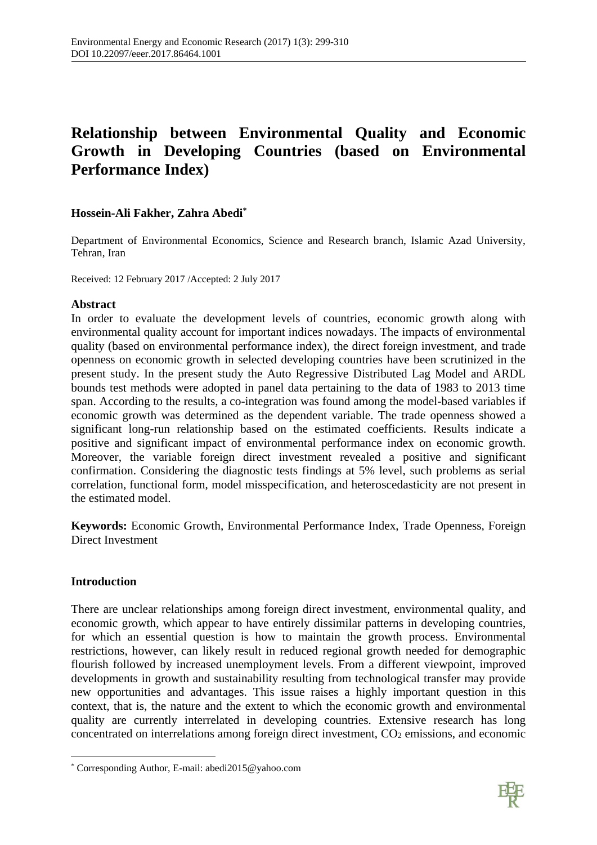# **Relationship between Environmental Quality and Economic Growth in Developing Countries (based on Environmental Performance Index)**

# **Hossein-Ali Fakher, Zahra Abedi\***

Department of Environmental Economics, Science and Research branch, Islamic Azad University, Tehran, Iran

Received: 12 February 2017 /Accepted: 2 July 2017

# **Abstract**

In order to evaluate the development levels of countries, economic growth along with environmental quality account for important indices nowadays. The impacts of environmental quality (based on environmental performance index), the direct foreign investment, and trade openness on economic growth in selected developing countries have been scrutinized in the present study. In the present study the Auto Regressive Distributed Lag Model and ARDL bounds test methods were adopted in panel data pertaining to the data of 1983 to 2013 time span. According to the results, a co-integration was found among the model-based variables if economic growth was determined as the dependent variable. The trade openness showed a significant long-run relationship based on the estimated coefficients. Results indicate a positive and significant impact of environmental performance index on economic growth. Moreover, the variable foreign direct investment revealed a positive and significant confirmation. Considering the diagnostic tests findings at 5% level, such problems as serial correlation, functional form, model misspecification, and heteroscedasticity are not present in the estimated model.

**Keywords:** Economic Growth, Environmental Performance Index, Trade Openness, Foreign Direct Investment

# **Introduction**

**.** 

There are unclear relationships among foreign direct investment, environmental quality, and economic growth, which appear to have entirely dissimilar patterns in developing countries, for which an essential question is how to maintain the growth process. Environmental restrictions, however, can likely result in reduced regional growth needed for demographic flourish followed by increased unemployment levels. From a different viewpoint, improved developments in growth and sustainability resulting from technological transfer may provide new opportunities and advantages. This issue raises a highly important question in this context, that is, the nature and the extent to which the economic growth and environmental quality are currently interrelated in developing countries. Extensive research has long concentrated on interrelations among foreign direct investment, CO<sup>2</sup> emissions, and economic



<sup>\*</sup> Corresponding Author, E-mail[: abedi2015@yahoo.com](mailto:abedi2015@yahoo.com)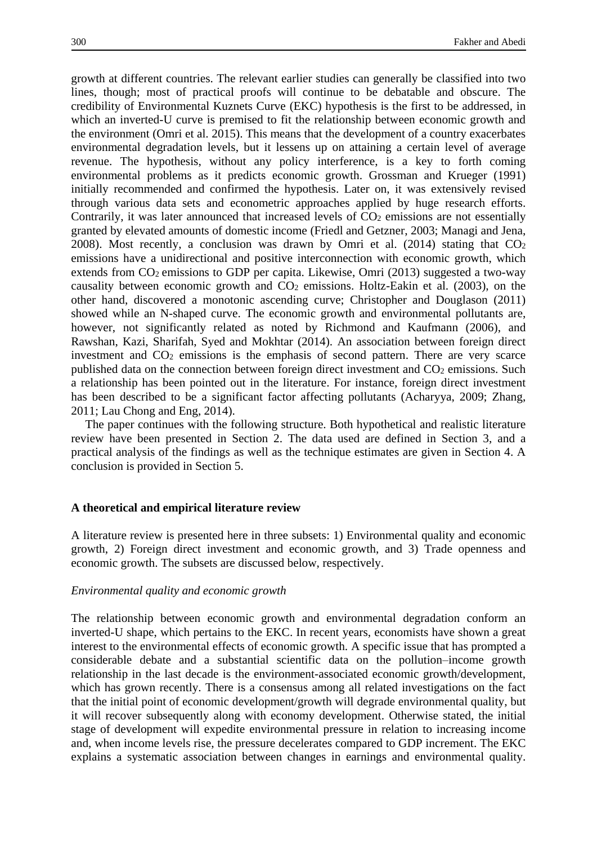growth at different countries. The relevant earlier studies can generally be classified into two lines, though; most of practical proofs will continue to be debatable and obscure. The credibility of Environmental Kuznets Curve (EKC) hypothesis is the first to be addressed, in which an inverted-U curve is premised to fit the relationship between economic growth and the environment (Omri et al. 2015). This means that the development of a country exacerbates environmental degradation levels, but it lessens up on attaining a certain level of average revenue. The hypothesis, without any policy interference, is a key to forth coming environmental problems as it predicts economic growth. Grossman and Krueger (1991) initially recommended and confirmed the hypothesis. Later on, it was extensively revised through various data sets and econometric approaches applied by huge research efforts. Contrarily, it was later announced that increased levels of  $CO<sub>2</sub>$  emissions are not essentially granted by elevated amounts of domestic income (Friedl and Getzner, 2003; Managi and Jena, 2008). Most recently, a conclusion was drawn by Omri et al.  $(2014)$  stating that  $CO<sub>2</sub>$ emissions have a unidirectional and positive interconnection with economic growth, which extends from CO2 emissions to GDP per capita. Likewise, Omri (2013) suggested a two-way causality between economic growth and CO<sup>2</sup> emissions. Holtz-Eakin et al. (2003), on the other hand, discovered a monotonic ascending curve; Christopher and Douglason (2011) showed while an N-shaped curve. The economic growth and environmental pollutants are, however, not significantly related as noted by Richmond and Kaufmann (2006), and Rawshan, Kazi, Sharifah, Syed and Mokhtar (2014). An association between foreign direct investment and CO<sub>2</sub> emissions is the emphasis of second pattern. There are very scarce published data on the connection between foreign direct investment and CO<sub>2</sub> emissions. Such a relationship has been pointed out in the literature. For instance, foreign direct investment has been described to be a significant factor affecting pollutants (Acharyya, 2009; Zhang, 2011; Lau Chong and Eng, 2014).

The paper continues with the following structure. Both hypothetical and realistic literature review have been presented in Section 2. The data used are defined in Section 3, and a practical analysis of the findings as well as the technique estimates are given in Section 4. A conclusion is provided in Section 5.

#### **A theoretical and empirical literature review**

A literature review is presented here in three subsets: 1) Environmental quality and economic growth, 2) Foreign direct investment and economic growth, and 3) Trade openness and economic growth. The subsets are discussed below, respectively.

### *Environmental quality and economic growth*

The relationship between economic growth and environmental degradation conform an inverted-U shape, which pertains to the EKC. In recent years, economists have shown a great interest to the environmental effects of economic growth. A specific issue that has prompted a considerable debate and a substantial scientific data on the pollution–income growth relationship in the last decade is the environment-associated economic growth/development, which has grown recently. There is a consensus among all related investigations on the fact that the initial point of economic development/growth will degrade environmental quality, but it will recover subsequently along with economy development. Otherwise stated, the initial stage of development will expedite environmental pressure in relation to increasing income and, when income levels rise, the pressure decelerates compared to GDP increment. The EKC explains a systematic association between changes in earnings and environmental quality.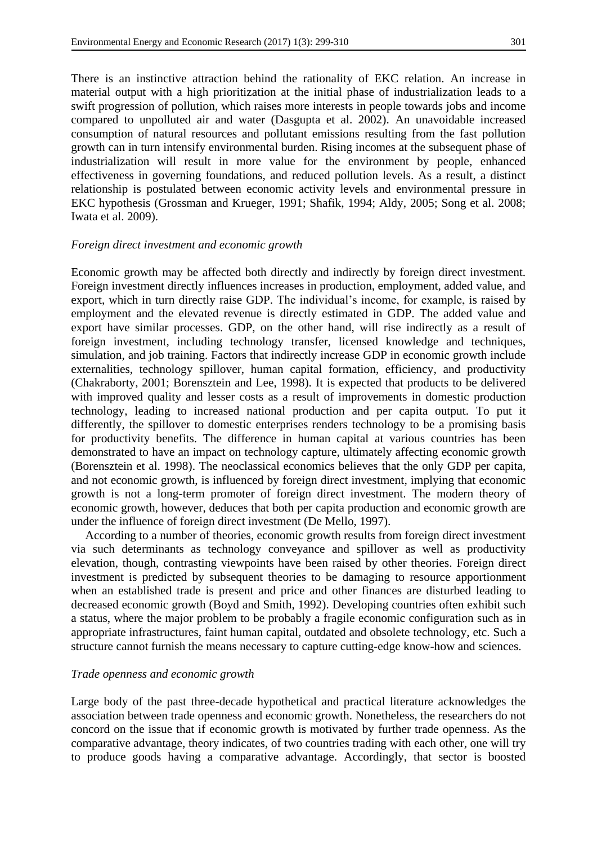There is an instinctive attraction behind the rationality of EKC relation. An increase in material output with a high prioritization at the initial phase of industrialization leads to a swift progression of pollution, which raises more interests in people towards jobs and income compared to unpolluted air and water (Dasgupta et al. 2002). An unavoidable increased consumption of natural resources and pollutant emissions resulting from the fast pollution growth can in turn intensify environmental burden. Rising incomes at the subsequent phase of industrialization will result in more value for the environment by people, enhanced effectiveness in governing foundations, and reduced pollution levels. As a result, a distinct relationship is postulated between economic activity levels and environmental pressure in EKC hypothesis (Grossman and Krueger, 1991; Shafik, 1994; Aldy, 2005; Song et al. 2008; Iwata et al. 2009).

## *Foreign direct investment and economic growth*

Economic growth may be affected both directly and indirectly by foreign direct investment. Foreign investment directly influences increases in production, employment, added value, and export, which in turn directly raise GDP. The individual's income, for example, is raised by employment and the elevated revenue is directly estimated in GDP. The added value and export have similar processes. GDP, on the other hand, will rise indirectly as a result of foreign investment, including technology transfer, licensed knowledge and techniques, simulation, and job training. Factors that indirectly increase GDP in economic growth include externalities, technology spillover, human capital formation, efficiency, and productivity (Chakraborty, 2001; Borensztein and Lee, 1998). It is expected that products to be delivered with improved quality and lesser costs as a result of improvements in domestic production technology, leading to increased national production and per capita output. To put it differently, the spillover to domestic enterprises renders technology to be a promising basis for productivity benefits. The difference in human capital at various countries has been demonstrated to have an impact on technology capture, ultimately affecting economic growth (Borensztein et al. 1998). The neoclassical economics believes that the only GDP per capita, and not economic growth, is influenced by foreign direct investment, implying that economic growth is not a long-term promoter of foreign direct investment. The modern theory of economic growth, however, deduces that both per capita production and economic growth are under the influence of foreign direct investment (De Mello, 1997).

According to a number of theories, economic growth results from foreign direct investment via such determinants as technology conveyance and spillover as well as productivity elevation, though, contrasting viewpoints have been raised by other theories. Foreign direct investment is predicted by subsequent theories to be damaging to resource apportionment when an established trade is present and price and other finances are disturbed leading to decreased economic growth (Boyd and Smith, 1992). Developing countries often exhibit such a status, where the major problem to be probably a fragile economic configuration such as in appropriate infrastructures, faint human capital, outdated and obsolete technology, etc. Such a structure cannot furnish the means necessary to capture cutting-edge know-how and sciences.

## *Trade openness and economic growth*

Large body of the past three-decade hypothetical and practical literature acknowledges the association between trade openness and economic growth. Nonetheless, the researchers do not concord on the issue that if economic growth is motivated by further trade openness. As the comparative advantage, theory indicates, of two countries trading with each other, one will try to produce goods having a comparative advantage. Accordingly, that sector is boosted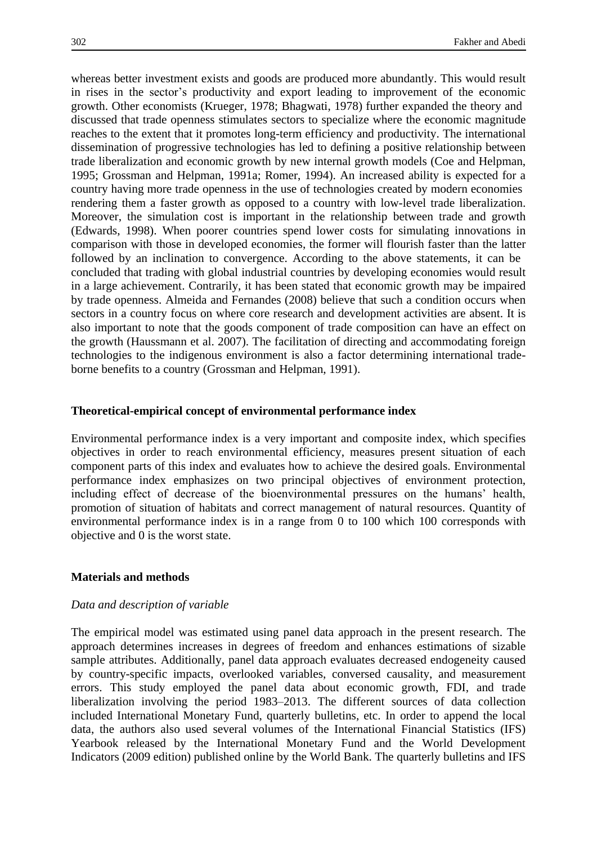whereas better investment exists and goods are produced more abundantly. This would result in rises in the sector's productivity and export leading to improvement of the economic growth. Other economists (Krueger, 1978; Bhagwati, 1978) further expanded the theory and discussed that trade openness stimulates sectors to specialize where the economic magnitude reaches to the extent that it promotes long-term efficiency and productivity. The international dissemination of progressive technologies has led to defining a positive relationship between trade liberalization and economic growth by new internal growth models (Coe and Helpman, 1995; Grossman and Helpman, 1991a; Romer, 1994). An increased ability is expected for a country having more trade openness in the use of technologies created by modern economies rendering them a faster growth as opposed to a country with low-level trade liberalization. Moreover, the simulation cost is important in the relationship between trade and growth (Edwards, 1998). When poorer countries spend lower costs for simulating innovations in comparison with those in developed economies, the former will flourish faster than the latter followed by an inclination to convergence. According to the above statements, it can be concluded that trading with global industrial countries by developing economies would result in a large achievement. Contrarily, it has been stated that economic growth may be impaired by trade openness. Almeida and Fernandes (2008) believe that such a condition occurs when sectors in a country focus on where core research and development activities are absent. It is also important to note that the goods component of trade composition can have an effect on the growth (Haussmann et al. 2007). The facilitation of directing and accommodating foreign technologies to the indigenous environment is also a factor determining international tradeborne benefits to a country (Grossman and Helpman, 1991).

## **Theoretical-empirical concept of environmental performance index**

Environmental performance index is a very important and composite index, which specifies objectives in order to reach environmental efficiency, measures present situation of each component parts of this index and evaluates how to achieve the desired goals. Environmental performance index emphasizes on two principal objectives of environment protection, including effect of decrease of the bioenvironmental pressures on the humans' health, promotion of situation of habitats and correct management of natural resources. Quantity of environmental performance index is in a range from 0 to 100 which 100 corresponds with objective and 0 is the worst state.

## **Materials and methods**

## *Data and description of variable*

The empirical model was estimated using panel data approach in the present research. The approach determines increases in degrees of freedom and enhances estimations of sizable sample attributes. Additionally, panel data approach evaluates decreased endogeneity caused by country-specific impacts, overlooked variables, conversed causality, and measurement errors. This study employed the panel data about economic growth, FDI, and trade liberalization involving the period 1983–2013. The different sources of data collection included International Monetary Fund, quarterly bulletins, etc. In order to append the local data, the authors also used several volumes of the International Financial Statistics (IFS) Yearbook released by the International Monetary Fund and the World Development Indicators (2009 edition) published online by the World Bank. The quarterly bulletins and IFS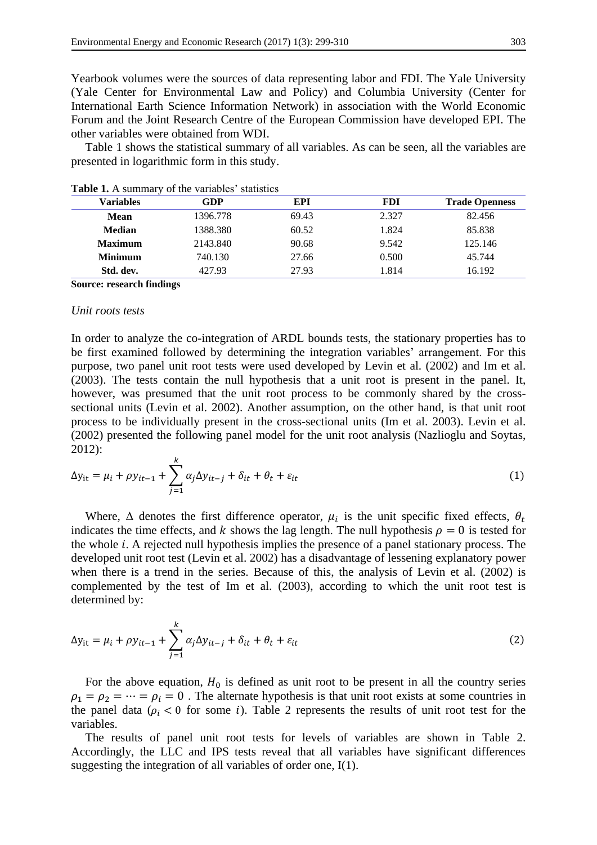Yearbook volumes were the sources of data representing labor and FDI. The Yale University (Yale Center for Environmental Law and Policy) and Columbia University (Center for International Earth Science Information Network) in association with the World Economic Forum and the Joint Research Centre of the European Commission have developed EPI. The other variables were obtained from WDI.

Table 1 shows the statistical summary of all variables. As can be seen, all the variables are presented in logarithmic form in this study.

| Variables                        | GDP      | EPI   | <b>FDI</b> | <b>Trade Openness</b> |
|----------------------------------|----------|-------|------------|-----------------------|
| Mean                             | 1396.778 | 69.43 | 2.327      | 82.456                |
| <b>Median</b>                    | 1388.380 | 60.52 | 1.824      | 85.838                |
| <b>Maximum</b>                   | 2143.840 | 90.68 | 9.542      | 125.146               |
| <b>Minimum</b>                   | 740.130  | 27.66 | 0.500      | 45.744                |
| Std. dev.                        | 427.93   | 27.93 | 1.814      | 16.192                |
| <b>Source: research findings</b> |          |       |            |                       |

**Table 1.** A summary of the variables' statistics

## *Unit roots tests*

In order to analyze the co-integration of ARDL bounds tests, the stationary properties has to be first examined followed by determining the integration variables' arrangement. For this purpose, two panel unit root tests were used developed by Levin et al. (2002) and Im et al. (2003). The tests contain the null hypothesis that a unit root is present in the panel. It, however, was presumed that the unit root process to be commonly shared by the crosssectional units (Levin et al. 2002). Another assumption, on the other hand, is that unit root process to be individually present in the cross-sectional units (Im et al. 2003). Levin et al. (2002) presented the following panel model for the unit root analysis (Nazlioglu and Soytas, 2012):

$$
\Delta y_{it} = \mu_i + \rho y_{it-1} + \sum_{j=1}^{k} \alpha_j \Delta y_{it-j} + \delta_{it} + \theta_t + \varepsilon_{it}
$$
\n(1)

Where,  $\Delta$  denotes the first difference operator,  $\mu_i$  is the unit specific fixed effects,  $\theta_t$ indicates the time effects, and k shows the lag length. The null hypothesis  $\rho = 0$  is tested for the whole  $i$ . A rejected null hypothesis implies the presence of a panel stationary process. The developed unit root test (Levin et al. 2002) has a disadvantage of lessening explanatory power when there is a trend in the series. Because of this, the analysis of Levin et al. (2002) is complemented by the test of Im et al. (2003), according to which the unit root test is determined by:

$$
\Delta y_{it} = \mu_i + \rho y_{it-1} + \sum_{j=1}^{k} \alpha_j \Delta y_{it-j} + \delta_{it} + \theta_t + \varepsilon_{it}
$$
\n(2)

For the above equation,  $H_0$  is defined as unit root to be present in all the country series  $\rho_1 = \rho_2 = \cdots = \rho_i = 0$ . The alternate hypothesis is that unit root exists at some countries in the panel data ( $\rho_i$  < 0 for some i). Table 2 represents the results of unit root test for the variables.

The results of panel unit root tests for levels of variables are shown in Table 2. Accordingly, the LLC and IPS tests reveal that all variables have significant differences suggesting the integration of all variables of order one, I(1).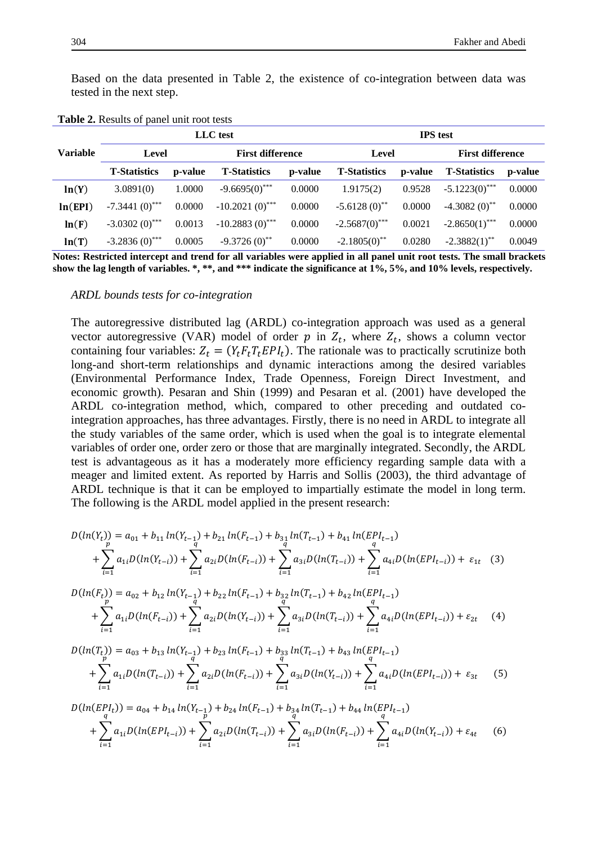Based on the data presented in Table 2, the existence of co-integration between data was tested in the next step.

|          | LLC test                    |         |                         | <b>IPS</b> test |                     |         |                             |         |
|----------|-----------------------------|---------|-------------------------|-----------------|---------------------|---------|-----------------------------|---------|
| Variable | Level                       |         | <b>First difference</b> |                 | Level               |         | <b>First difference</b>     |         |
|          | <b>T-Statistics</b>         | p-value | <b>T-Statistics</b>     | p-value         | <b>T-Statistics</b> | p-value | <b>T-Statistics</b>         | p-value |
| ln(Y)    | 3.0891(0)                   | 1.0000  | $-9.6695(0)$ ***        | 0.0000          | 1.9175(2)           | 0.9528  | $-5.1223(0)$ <sup>***</sup> | 0.0000  |
| ln(EPI)  | $-7.3441(0)$ <sup>***</sup> | 0.0000  | $-10.2021(0)$ ***       | 0.0000          | $-5.6128(0)$ **     | 0.0000  | $-4.3082(0)$ <sup>**</sup>  | 0.0000  |
| ln(F)    | $-3.0302(0)$ ***            | 0.0013  | $-10.2883(0)$ ***       | 0.0000          | $-2.5687(0)$ ***    | 0.0021  | $-2.8650(1)$ ***            | 0.0000  |
| ln(T)    | $-3.2836(0)$ ***            | 0.0005  | $-9.3726(0)$ **         | 0.0000          | $-2.1805(0)$ **     | 0.0280  | $-2.3882(1)$ **             | 0.0049  |

**Table 2.** Results of panel unit root tests

**Notes: Restricted intercept and trend for all variables were applied in all panel unit root tests. The small brackets show the lag length of variables. \*, \*\*, and \*\*\* indicate the significance at 1%, 5%, and 10% levels, respectively.**

*ARDL bounds tests for co-integration*

The autoregressive distributed lag (ARDL) co-integration approach was used as a general vector autoregressive (VAR) model of order  $p$  in  $Z_t$ , where  $Z_t$ , shows a column vector containing four variables:  $Z_t = (Y_t F_t T_t E P I_t)$ . The rationale was to practically scrutinize both long-and short-term relationships and dynamic interactions among the desired variables (Environmental Performance Index, Trade Openness, Foreign Direct Investment, and economic growth). Pesaran and Shin (1999) and Pesaran et al. (2001) have developed the ARDL co-integration method, which, compared to other preceding and outdated cointegration approaches, has three advantages. Firstly, there is no need in ARDL to integrate all the study variables of the same order, which is used when the goal is to integrate elemental variables of order one, order zero or those that are marginally integrated. Secondly, the ARDL test is advantageous as it has a moderately more efficiency regarding sample data with a meager and limited extent. As reported by Harris and Sollis (2003), the third advantage of ARDL technique is that it can be employed to impartially estimate the model in long term. The following is the ARDL model applied in the present research:

$$
D(ln(Y_t)) = a_{01} + b_{11} ln(Y_{t-1}) + b_{21} ln(F_{t-1}) + b_{31} ln(T_{t-1}) + b_{41} ln(EPL_{t-1})
$$
  
+ 
$$
\sum_{i=1}^{p} a_{1i} D(ln(Y_{t-i})) + \sum_{i=1}^{q} a_{2i} D(ln(F_{t-i})) + \sum_{i=1}^{q} a_{3i} D(ln(T_{t-i})) + \sum_{i=1}^{q} a_{4i} D(ln(EPL_{t-i})) + \varepsilon_{1t} (3)
$$

$$
D(ln(F_t)) = a_{02} + b_{12} ln(Y_{t-1}) + b_{22} ln(F_{t-1}) + b_{32} ln(T_{t-1}) + b_{42} ln(EPL_{t-1})
$$
  
+ 
$$
\sum_{i=1}^{p} a_{1i} D(ln(F_{t-i})) + \sum_{i=1}^{q} a_{2i} D(ln(Y_{t-i})) + \sum_{i=1}^{q} a_{3i} D(ln(T_{t-i})) + \sum_{i=1}^{q} a_{4i} D(ln(EPL_{t-i})) + \varepsilon_{2t}
$$
 (4)

$$
D(ln(T_t)) = a_{03} + b_{13} ln(Y_{t-1}) + b_{23} ln(F_{t-1}) + b_{33} ln(T_{t-1}) + b_{43} ln(EPL_{t-1})
$$
  
+ 
$$
\sum_{i=1}^{p} a_{1i} D(ln(T_{t-i})) + \sum_{i=1}^{q} a_{2i} D(ln(F_{t-i})) + \sum_{i=1}^{q} a_{3i} D(ln(Y_{t-i})) + \sum_{i=1}^{q} a_{4i} D(ln(EPL_{t-i})) + \varepsilon_{3t}
$$
 (5)

$$
D(\ln(EPI_t)) = a_{04} + b_{14} \ln(Y_{t-1}) + b_{24} \ln(F_{t-1}) + b_{34} \ln(T_{t-1}) + b_{44} \ln(EPI_{t-1})
$$
  
+ 
$$
\sum_{i=1}^{q} a_{1i} D(\ln(EPI_{t-i})) + \sum_{i=1}^{q} a_{2i} D(\ln(T_{t-i})) + \sum_{i=1}^{q} a_{3i} D(\ln(F_{t-i})) + \sum_{i=1}^{q} a_{4i} D(\ln(Y_{t-i})) + \varepsilon_{4t} \qquad (6)
$$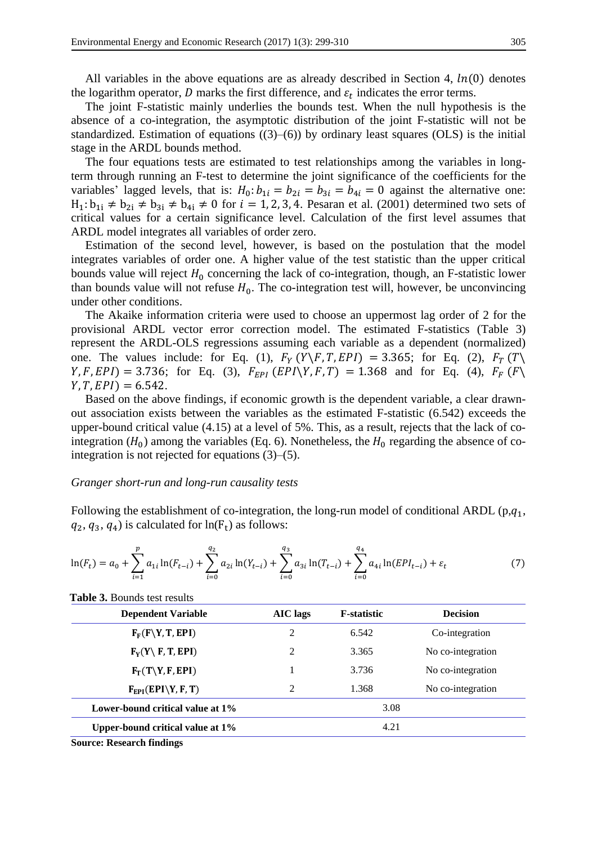All variables in the above equations are as already described in Section 4,  $ln(0)$  denotes the logarithm operator,  $D$  marks the first difference, and  $\varepsilon_t$  indicates the error terms.

The joint F-statistic mainly underlies the bounds test. When the null hypothesis is the absence of a co-integration, the asymptotic distribution of the joint F-statistic will not be standardized. Estimation of equations  $((3)-(6))$  by ordinary least squares  $(OLS)$  is the initial stage in the ARDL bounds method.

The four equations tests are estimated to test relationships among the variables in longterm through running an F-test to determine the joint significance of the coefficients for the variables' lagged levels, that is:  $H_0: b_{1i} = b_{2i} = b_{3i} = b_{4i} = 0$  against the alternative one:  $H_1: b_{1i} \neq b_{2i} \neq b_{3i} \neq b_{4i} \neq 0$  for  $i = 1, 2, 3, 4$ . Pesaran et al. (2001) determined two sets of critical values for a certain significance level. Calculation of the first level assumes that ARDL model integrates all variables of order zero.

Estimation of the second level, however, is based on the postulation that the model integrates variables of order one. A higher value of the test statistic than the upper critical bounds value will reject  $H_0$  concerning the lack of co-integration, though, an F-statistic lower than bounds value will not refuse  $H_0$ . The co-integration test will, however, be unconvincing under other conditions.

The Akaike information criteria were used to choose an uppermost lag order of 2 for the provisional ARDL vector error correction model. The estimated F-statistics (Table 3) represent the ARDL-OLS regressions assuming each variable as a dependent (normalized) one. The values include: for Eq. (1),  $F_Y(Y \ F, T, EPI) = 3.365$ ; for Eq. (2),  $F_T(T \ F)$  $Y, F, EPI$ ) = 3.736; for Eq. (3),  $F_{EPI} (EPI \ Y, F, T) = 1.368$  and for Eq. (4),  $F_F (F \ Y)$  $Y, T, EPI$  = 6.542.

Based on the above findings, if economic growth is the dependent variable, a clear drawnout association exists between the variables as the estimated F-statistic (6.542) exceeds the upper-bound critical value (4.15) at a level of 5%. This, as a result, rejects that the lack of cointegration ( $H_0$ ) among the variables (Eq. 6). Nonetheless, the  $H_0$  regarding the absence of cointegration is not rejected for equations (3)–(5).

#### *Granger short-run and long-run causality tests*

Following the establishment of co-integration, the long-run model of conditional ARDL ( $p,q_1$ ,  $q_2, q_3, q_4$ ) is calculated for  $ln(F_t)$  as follows:

$$
\ln(F_t) = a_0 + \sum_{i=1}^p a_{1i} \ln(F_{t-i}) + \sum_{i=0}^{q_2} a_{2i} \ln(Y_{t-i}) + \sum_{i=0}^{q_3} a_{3i} \ln(T_{t-i}) + \sum_{i=0}^{q_4} a_{4i} \ln(EPI_{t-i}) + \varepsilon_t
$$
\n(7)

| <b>Dependent Variable</b>        | AIC lags | <b>F</b> -statistic | <b>Decision</b>   |
|----------------------------------|----------|---------------------|-------------------|
| $F_F(F\Y, T, EPI)$               | 2        | 6.542               | Co-integration    |
| $F_Y(Y \setminus F, T, EPI)$     | 2        | 3.365               | No co-integration |
| $F_T(T\Y, F, EPI)$               |          | 3.736               | No co-integration |
| $F_{EPI}(EPI\Y, F, T)$           | 2        | 1.368               | No co-integration |
| Lower-bound critical value at 1% |          | 3.08                |                   |
| Upper-bound critical value at 1% |          | 4.21                |                   |

**Table 3.** Bounds test results

**Source: Research findings**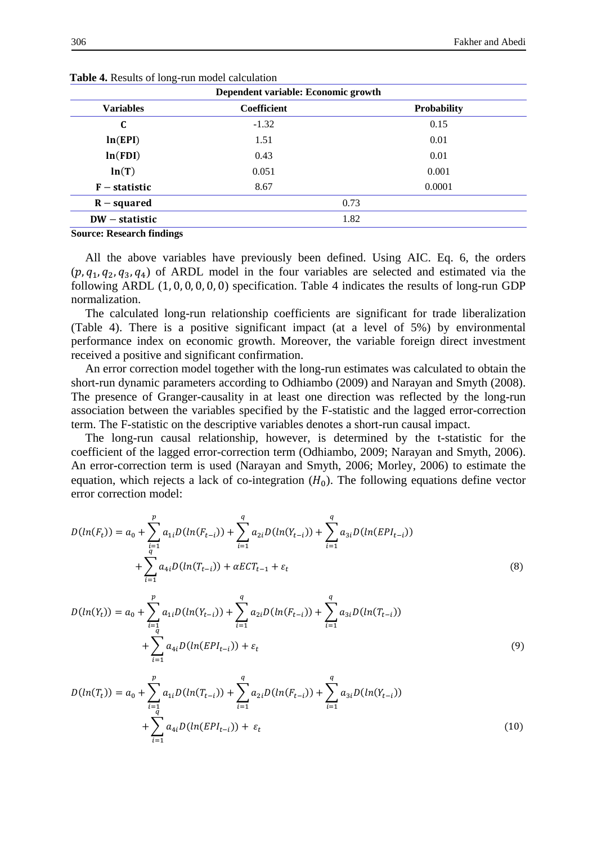| Dependent variable: Economic growth |                    |                    |  |  |
|-------------------------------------|--------------------|--------------------|--|--|
| <b>Variables</b>                    | <b>Coefficient</b> | <b>Probability</b> |  |  |
| C                                   | $-1.32$            | 0.15               |  |  |
| ln(EPI)                             | 1.51               | 0.01               |  |  |
| ln(FDI)                             | 0.01<br>0.43       |                    |  |  |
| ln(T)                               | 0.051<br>0.001     |                    |  |  |
| $F -$ statistic                     | 8.67               | 0.0001             |  |  |
| $R$ – squared                       |                    | 0.73               |  |  |
| $DW - statistic$                    |                    | 1.82               |  |  |

**Table 4.** Results of long-run model calculation

**Source: Research findings**

All the above variables have previously been defined. Using AIC. Eq. 6, the orders  $(p, q_1, q_2, q_3, q_4)$  of ARDL model in the four variables are selected and estimated via the following ARDL (1, 0, 0, 0, 0, 0) specification. Table 4 indicates the results of long-run GDP normalization.

The calculated long-run relationship coefficients are significant for trade liberalization (Table 4). There is a positive significant impact (at a level of 5%) by environmental performance index on economic growth. Moreover, the variable foreign direct investment received a positive and significant confirmation.

An error correction model together with the long-run estimates was calculated to obtain the short-run dynamic parameters according to Odhiambo (2009) and Narayan and Smyth (2008). The presence of Granger-causality in at least one direction was reflected by the long-run association between the variables specified by the F-statistic and the lagged error-correction term. The F-statistic on the descriptive variables denotes a short-run causal impact.

The long-run causal relationship, however, is determined by the t-statistic for the coefficient of the lagged error-correction term (Odhiambo, 2009; Narayan and Smyth, 2006). An error-correction term is used (Narayan and Smyth, 2006; Morley, 2006) to estimate the equation, which rejects a lack of co-integration  $(H_0)$ . The following equations define vector error correction model:

$$
D(ln(F_t)) = a_0 + \sum_{i=1}^p a_{1i} D(ln(F_{t-i})) + \sum_{i=1}^q a_{2i} D(ln(Y_{t-i})) + \sum_{i=1}^q a_{3i} D(ln(EPI_{t-i})) + \sum_{i=1}^q a_{4i} D(ln(T_{t-i})) + \alpha ECT_{t-1} + \varepsilon_t
$$
\n(8)

$$
D(ln(Y_t)) = a_0 + \sum_{i=1}^p a_{1i} D(ln(Y_{t-i})) + \sum_{i=1}^q a_{2i} D(ln(F_{t-i})) + \sum_{i=1}^q a_{3i} D(ln(T_{t-i})) + \sum_{i=1}^q a_{4i} D(ln(EPL_{t-i})) + \varepsilon_t
$$
\n(9)

$$
D(ln(T_t)) = a_0 + \sum_{i=1}^p a_{1i}D(ln(T_{t-i})) + \sum_{i=1}^q a_{2i}D(ln(F_{t-i})) + \sum_{i=1}^q a_{3i}D(ln(Y_{t-i})) + \sum_{i=1}^q a_{4i}D(ln(EPL_{t-i})) + \varepsilon_t
$$
\n(10)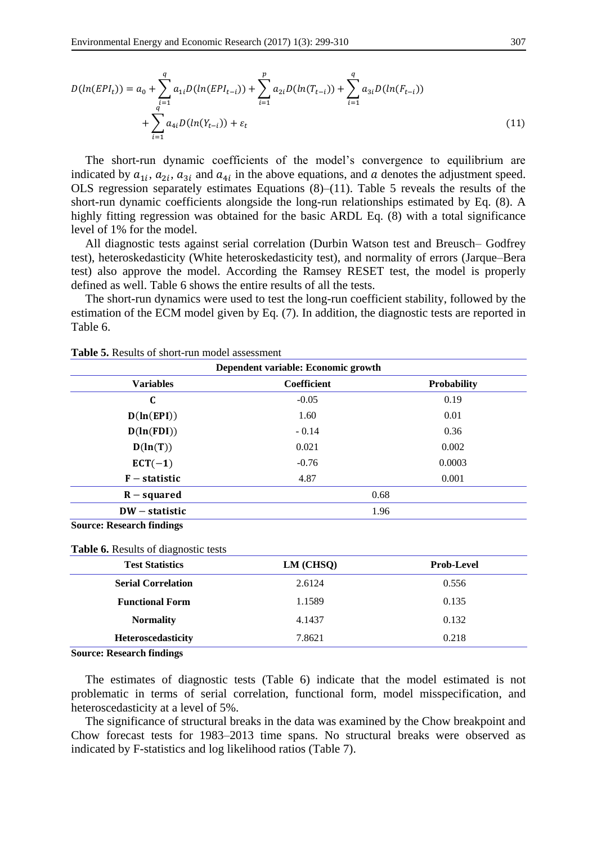$$
D(ln(EPI_t)) = a_0 + \sum_{\substack{i=1 \ i \neq j}}^q a_{1i} D(ln(EPI_{t-i})) + \sum_{i=1}^p a_{2i} D(ln(T_{t-i})) + \sum_{i=1}^q a_{3i} D(ln(F_{t-i})) + \sum_{i=1}^q a_{4i} D(ln(Y_{t-i})) + \varepsilon_t
$$
\n(11)

The short-run dynamic coefficients of the model's convergence to equilibrium are indicated by  $a_{1i}$ ,  $a_{2i}$ ,  $a_{3i}$  and  $a_{4i}$  in the above equations, and  $a$  denotes the adjustment speed. OLS regression separately estimates Equations (8)–(11). Table 5 reveals the results of the short-run dynamic coefficients alongside the long-run relationships estimated by Eq. (8). A highly fitting regression was obtained for the basic ARDL Eq. (8) with a total significance level of 1% for the model.

All diagnostic tests against serial correlation (Durbin Watson test and Breusch– Godfrey test), heteroskedasticity (White heteroskedasticity test), and normality of errors (Jarque–Bera test) also approve the model. According the Ramsey RESET test, the model is properly defined as well. Table 6 shows the entire results of all the tests.

The short-run dynamics were used to test the long-run coefficient stability, followed by the estimation of the ECM model given by Eq. (7). In addition, the diagnostic tests are reported in Table 6.

| Dependent variable: Economic growth |                   |                    |  |  |  |
|-------------------------------------|-------------------|--------------------|--|--|--|
| <b>Variables</b>                    | Coefficient       | <b>Probability</b> |  |  |  |
| C                                   | $-0.05$           | 0.19               |  |  |  |
| D(ln(EPI))                          | 1.60              | 0.01               |  |  |  |
| D(ln(FDI))                          | 0.36<br>$-0.14$   |                    |  |  |  |
| D(ln(T))                            | 0.021<br>0.002    |                    |  |  |  |
| $ECT(-1)$                           | 0.0003<br>$-0.76$ |                    |  |  |  |
| $F -$ statistic                     | 4.87              | 0.001              |  |  |  |
| $R$ – squared                       |                   | 0.68               |  |  |  |
| $DW$ – statistic                    |                   | 1.96               |  |  |  |
| <b>Source: Research findings</b>    |                   |                    |  |  |  |

**Table 6.** Results of diagnostic tests

| <b>Test Statistics</b>    | $LM$ (CHSQ) | <b>Prob-Level</b> |  |
|---------------------------|-------------|-------------------|--|
| <b>Serial Correlation</b> | 2.6124      | 0.556             |  |
| <b>Functional Form</b>    | 1.1589      | 0.135             |  |
| <b>Normality</b>          | 4.1437      | 0.132             |  |
| Heteroscedasticity        | 7.8621      | 0.218             |  |

**Source: Research findings**

The estimates of diagnostic tests (Table 6) indicate that the model estimated is not problematic in terms of serial correlation, functional form, model misspecification, and heteroscedasticity at a level of 5%.

The significance of structural breaks in the data was examined by the Chow breakpoint and Chow forecast tests for 1983–2013 time spans. No structural breaks were observed as indicated by F-statistics and log likelihood ratios (Table 7).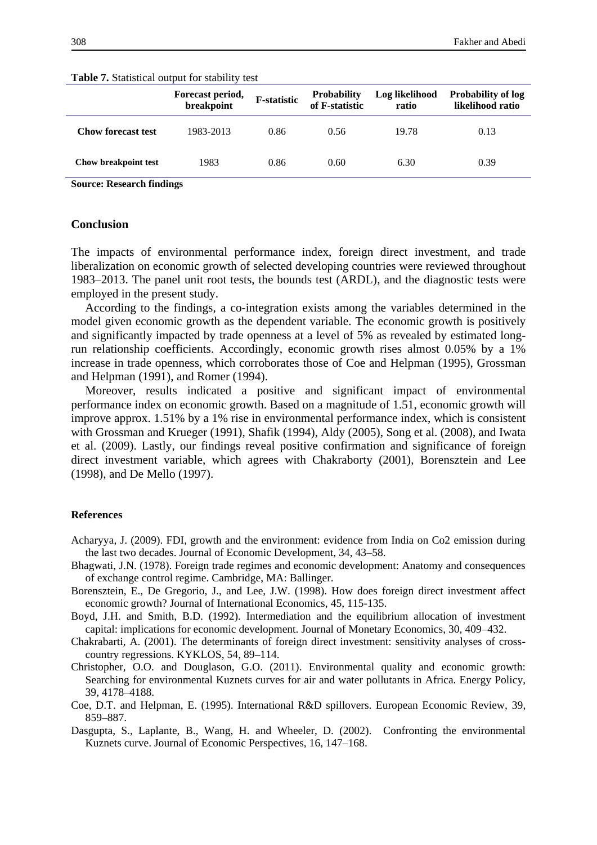|                             | Forecast period,<br>breakpoint | <b>F</b> -statistic | <b>Probability</b><br>of F-statistic | Log likelihood<br>ratio | <b>Probability of log</b><br>likelihood ratio |
|-----------------------------|--------------------------------|---------------------|--------------------------------------|-------------------------|-----------------------------------------------|
| <b>Chow forecast test</b>   | 1983-2013                      | 0.86                | 0.56                                 | 19.78                   | 0.13                                          |
| <b>Chow breakpoint test</b> | 1983                           | 0.86                | 0.60                                 | 6.30                    | 0.39                                          |

**Table 7.** Statistical output for stability test

**Source: Research findings**

## **Conclusion**

The impacts of environmental performance index, foreign direct investment, and trade liberalization on economic growth of selected developing countries were reviewed throughout 1983–2013. The panel unit root tests, the bounds test (ARDL), and the diagnostic tests were employed in the present study.

According to the findings, a co-integration exists among the variables determined in the model given economic growth as the dependent variable. The economic growth is positively and significantly impacted by trade openness at a level of 5% as revealed by estimated longrun relationship coefficients. Accordingly, economic growth rises almost 0.05% by a 1% increase in trade openness, which corroborates those of Coe and Helpman (1995), Grossman and Helpman (1991), and Romer (1994).

Moreover, results indicated a positive and significant impact of environmental performance index on economic growth. Based on a magnitude of 1.51, economic growth will improve approx. 1.51% by a 1% rise in environmental performance index, which is consistent with Grossman and Krueger (1991), Shafik (1994), Aldy (2005), Song et al. (2008), and Iwata et al. (2009). Lastly, our findings reveal positive confirmation and significance of foreign direct investment variable, which agrees with Chakraborty (2001), Borensztein and Lee (1998), and De Mello (1997).

#### **References**

- Acharyya, J. (2009). FDI, growth and the environment: evidence from India on Co2 emission during the last two decades. Journal of Economic Development, 34, 43–58.
- Bhagwati, J.N. (1978). Foreign trade regimes and economic development: Anatomy and consequences of exchange control regime. Cambridge, MA: Ballinger.
- Borensztein, E., De Gregorio, J., and Lee, J.W. (1998). How does foreign direct investment affect economic growth? Journal of International Economics, 45, 115-135.
- Boyd, J.H. and Smith, B.D. (1992). Intermediation and the equilibrium allocation of investment capital: implications for economic development. Journal of Monetary Economics, 30, 409–432.
- Chakrabarti, A. (2001). The determinants of foreign direct investment: sensitivity analyses of crosscountry regressions. KYKLOS, 54, 89–114.
- Christopher, O.O. and Douglason, G.O. (2011). Environmental quality and economic growth: Searching for environmental Kuznets curves for air and water pollutants in Africa. Energy Policy, 39, 4178–4188.
- Coe, D.T. and Helpman, E. (1995). International R&D spillovers. European Economic Review, 39, 859–887.
- Dasgupta, S., Laplante, B., Wang, H. and Wheeler, D. (2002). Confronting the environmental Kuznets curve. Journal of Economic Perspectives, 16, 147–168.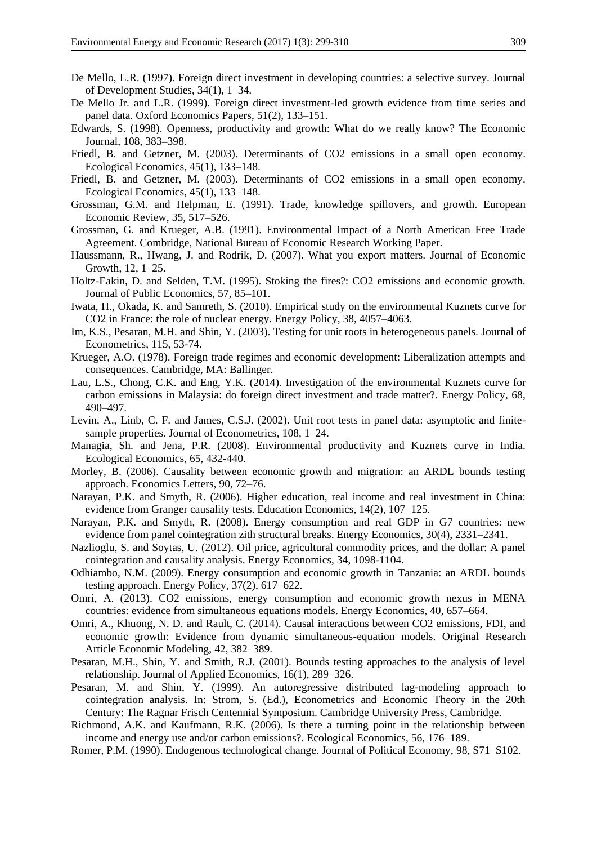- De Mello, L.R. (1997). Foreign direct investment in developing countries: a selective survey. Journal of Development Studies, 34(1), 1–34.
- De Mello Jr. and L.R. (1999). Foreign direct investment-led growth evidence from time series and panel data. Oxford Economics Papers, 51(2), 133–151.
- Edwards, S. (1998). Openness, productivity and growth: What do we really know? The Economic Journal, 108, 383–398.
- Friedl, B. and Getzner, M. (2003). Determinants of CO2 emissions in a small open economy. Ecological Economics, 45(1), 133–148.
- Friedl, B. and Getzner, M. (2003). Determinants of CO2 emissions in a small open economy. Ecological Economics, 45(1), 133–148.
- Grossman, G.M. and Helpman, E. (1991). Trade, knowledge spillovers, and growth. European Economic Review, 35, 517–526.
- Grossman, G. and Krueger, A.B. (1991). Environmental Impact of a North American Free Trade Agreement. Combridge, National Bureau of Economic Research Working Paper.
- Haussmann, R., Hwang, J. and Rodrik, D. (2007). What you export matters. Journal of Economic Growth, 12, 1–25.
- Holtz-Eakin, D. and Selden, T.M. (1995). Stoking the fires?: CO2 emissions and economic growth. Journal of Public Economics, 57, 85–101.
- Iwata, H., Okada, K. and Samreth, S. (2010). Empirical study on the environmental Kuznets curve for CO2 in France: the role of nuclear energy. Energy Policy, 38, 4057–4063.
- Im, K.S., Pesaran, M.H. and Shin, Y. (2003). Testing for unit roots in heterogeneous panels. Journal of Econometrics, 115, 53-74.
- Krueger, A.O. (1978). Foreign trade regimes and economic development: Liberalization attempts and consequences. Cambridge, MA: Ballinger.
- Lau, L.S., Chong, C.K. and Eng, Y.K. (2014). Investigation of the environmental Kuznets curve for carbon emissions in Malaysia: do foreign direct investment and trade matter?. Energy Policy, 68, 490–497.
- Levin, A., Linb, C. F. and James, C.S.J. (2002). Unit root tests in panel data: asymptotic and finitesample properties. Journal of Econometrics, 108, 1–24.
- Managia, Sh. and Jena, P.R. (2008). Environmental productivity and Kuznets curve in India. Ecological Economics, 65, 432-440.
- Morley, B. (2006). Causality between economic growth and migration: an ARDL bounds testing approach. Economics Letters, 90, 72–76.
- Narayan, P.K. and Smyth, R. (2006). Higher education, real income and real investment in China: evidence from Granger causality tests. Education Economics, 14(2), 107–125.
- Narayan, P.K. and Smyth, R. (2008). Energy consumption and real GDP in G7 countries: new evidence from panel cointegration zith structural breaks. Energy Economics, 30(4), 2331–2341.
- Nazlioglu, S. and Soytas, U. (2012). Oil price, agricultural commodity prices, and the dollar: A panel cointegration and causality analysis. Energy Economics, 34, 1098-1104.
- Odhiambo, N.M. (2009). Energy consumption and economic growth in Tanzania: an ARDL bounds testing approach. Energy Policy, 37(2), 617–622.
- Omri, A. (2013). CO2 emissions, energy consumption and economic growth nexus in MENA countries: evidence from simultaneous equations models. Energy Economics, 40, 657–664.
- Omri, A., Khuong, N. D. and Rault, C. (2014). Causal interactions between CO2 emissions, FDI, and economic growth: Evidence from dynamic simultaneous-equation models. Original Research Article Economic Modeling, 42, 382–389.
- Pesaran, M.H., Shin, Y. and Smith, R.J. (2001). Bounds testing approaches to the analysis of level relationship. Journal of Applied Economics, 16(1), 289–326.
- Pesaran, M. and Shin, Y. (1999). An autoregressive distributed lag-modeling approach to cointegration analysis. In: Strom, S. (Ed.), Econometrics and Economic Theory in the 20th Century: The Ragnar Frisch Centennial Symposium. Cambridge University Press, Cambridge.
- Richmond, A.K. and Kaufmann, R.K. (2006). Is there a turning point in the relationship between income and energy use and/or carbon emissions?. Ecological Economics, 56, 176–189.
- Romer, P.M. (1990). Endogenous technological change. Journal of Political Economy, 98, S71–S102.